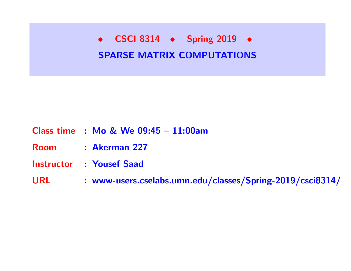• CSCI 8314 • Spring 2019 • SPARSE MATRIX COMPUTATIONS

#### Class time : Mo & We 09:45 – 11:00am

Room : Akerman 227

Instructor : Yousef Saad

URL : www-users.cselabs.umn.edu/classes/Spring-2019/csci8314/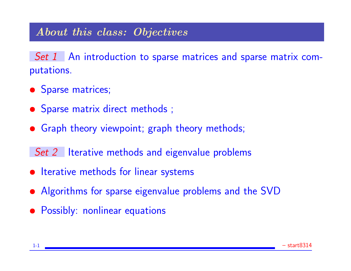## About this class: Objectives

Set 1 An introduction to sparse matrices and sparse matrix computations.

- Sparse matrices;
- Sparse matrix direct methods;
- Graph theory viewpoint; graph theory methods;

Set 2 Iterative methods and eigenvalue problems

- Iterative methods for linear systems
- Algorithms for sparse eigenvalue problems and the SVD
- Possibly: nonlinear equations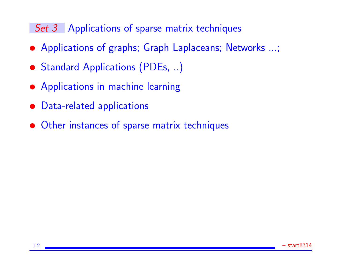## Set 3 Applications of sparse matrix techniques

- Applications of graphs; Graph Laplaceans; Networks ...;
- Standard Applications (PDEs, ..)
- Applications in machine learning
- Data-related applications
- Other instances of sparse matrix techniques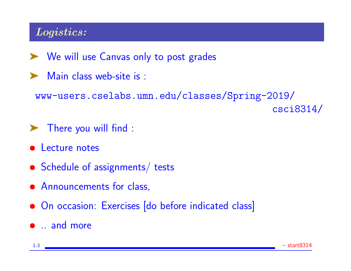## Logistics:

- ▶ We will use Canvas only to post grades
- ▶ Main class web-site is :

www-users.cselabs.umn.edu/classes/Spring-2019/ csci8314/

- ➤ There you will find :
- Lecture notes
- Schedule of assignments/ tests
- Announcements for class,
- On occasion: Exercises [do before indicated class]
- .. and more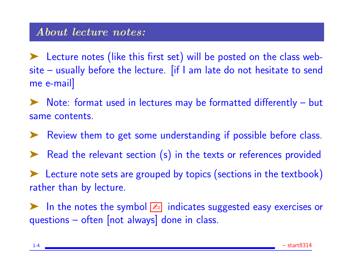➤ Lecture notes (like this first set) will be posted on the class website – usually before the lecture. [if I am late do not hesitate to send me e-mail]

➤ Note: format used in lectures may be formatted differently – but same contents.

➤ Review them to get some understanding if possible before class.

▶ Read the relevant section (s) in the texts or references provided

➤ Lecture note sets are grouped by topics (sections in the textbook) rather than by lecture.

▶ In the notes the symbol <a>
In the notes the symbol <a>
Indicates suggested easy exercises or questions – often [not always] done in class.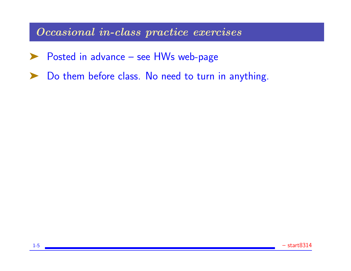Occasional in-class practice exercises

- ▶ Posted in advance see HWs web-page
- ▶ Do them before class. No need to turn in anything.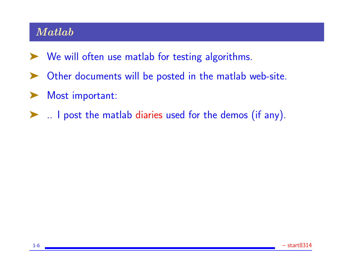## Matlab

- ► We will often use matlab for testing algorithms.
- ➤ Other documents will be posted in the matlab web-site.
- ▶ Most important:
- ➤ .. I post the matlab diaries used for the demos (if any).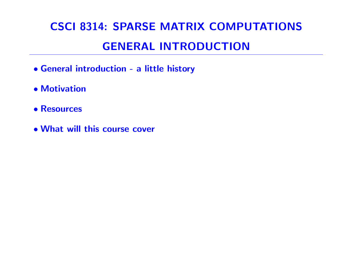# CSCI 8314: SPARSE MATRIX COMPUTATIONS GENERAL INTRODUCTION

- General introduction a little history
- Motivation
- Resources
- What will this course cover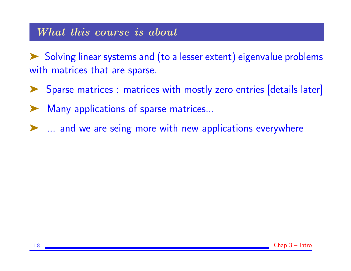#### What this course is about

➤ Solving linear systems and (to a lesser extent) eigenvalue problems with matrices that are sparse.

- ➤ Sparse matrices : matrices with mostly zero entries [details later]
- Many applications of sparse matrices...
- ➤ ... and we are seing more with new applications everywhere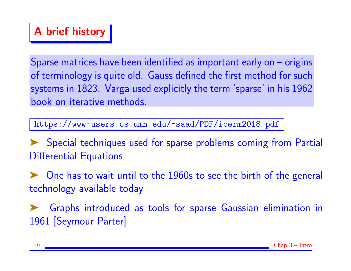## A brief history

Sparse matrices have been identified as important early on – origins of terminology is quite old. Gauss defined the first method for such systems in 1823. Varga used explicitly the term 'sparse' in his 1962 book on iterative methods.

<https://www-users.cs.umn.edu/~saad/PDF/icerm2018.pdf>

Special techniques used for sparse problems coming from Partial Differential Equations

One has to wait until to the 1960s to see the birth of the general technology available today

➤ Graphs introduced as tools for sparse Gaussian elimination in 1961 [Seymour Parter]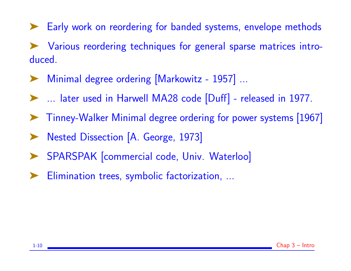➤ Early work on reordering for banded systems, envelope methods ➤ Various reordering techniques for general sparse matrices introduced.

- Minimal degree ordering [Markowitz 1957] ...
- ➤ ... later used in Harwell MA28 code [Duff] released in 1977.
- ➤ Tinney-Walker Minimal degree ordering for power systems [1967]
- ➤ Nested Dissection [A. George, 1973]
- SPARSPAK [commercial code, Univ. Waterloo]
- Elimination trees, symbolic factorization, ...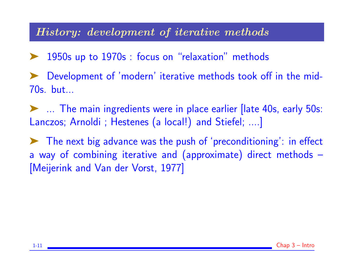#### History: development of iterative methods

- 1950s up to 1970s : focus on "relaxation" methods
- Development of 'modern' iterative methods took off in the mid-70s. but...
- ➤ ... The main ingredients were in place earlier [late 40s, early 50s: Lanczos; Arnoldi ; Hestenes (a local!) and Stiefel; ....]
- ➤ The next big advance was the push of 'preconditioning': in effect a way of combining iterative and (approximate) direct methods – [Meijerink and Van der Vorst, 1977]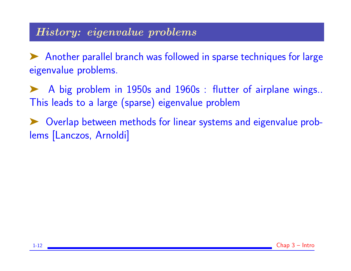## History: eigenvalue problems

➤ Another parallel branch was followed in sparse techniques for large eigenvalue problems.

➤ A big problem in 1950s and 1960s : flutter of airplane wings.. This leads to a large (sparse) eigenvalue problem

➤ Overlap between methods for linear systems and eigenvalue problems [Lanczos, Arnoldi]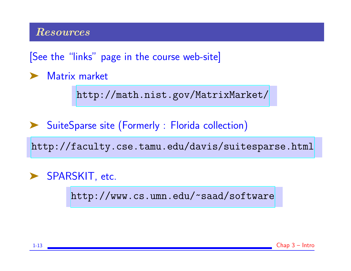#### Resources

[See the "links" page in the course web-site]

➤ Matrix market

<http://math.nist.gov/MatrixMarket/>

➤ SuiteSparse site (Formerly : Florida collection)

<http://faculty.cse.tamu.edu/davis/suitesparse.html>

▶ SPARSKIT, etc.

<http://www.cs.umn.edu/~saad/software>

1-13 Chap 3 – Intro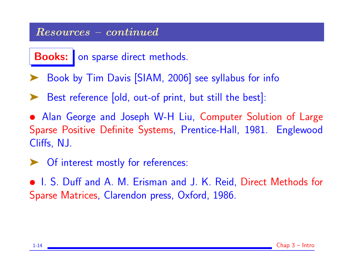#### Resources – continued

Books: on sparse direct methods.

- Book by Tim Davis [SIAM, 2006] see syllabus for info
- Best reference [old, out-of print, but still the best]:
- Alan George and Joseph W-H Liu, Computer Solution of Large Sparse Positive Definite Systems, Prentice-Hall, 1981. Englewood Cliffs, NJ.
- ➤ Of interest mostly for references:
- I. S. Duff and A. M. Erisman and J. K. Reid, Direct Methods for Sparse Matrices, Clarendon press, Oxford, 1986.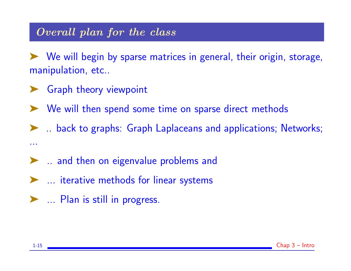## Overall plan for the class

➤ We will begin by sparse matrices in general, their origin, storage, manipulation, etc..

- ► Graph theory viewpoint
- ➤ We will then spend some time on sparse direct methods

➤ .. back to graphs: Graph Laplaceans and applications; Networks; ...

- ➤ .. and then on eigenvalue problems and
- ➤ ... iterative methods for linear systems
- ▶ ... Plan is still in progress.

1-15 Chap 3 – Intro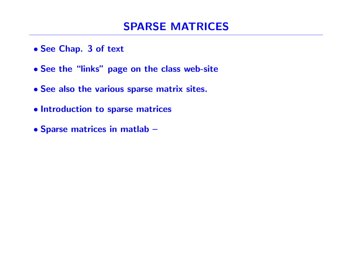- See Chap. 3 of text
- See the "links" page on the class web-site
- See also the various sparse matrix sites.
- Introduction to sparse matrices
- Sparse matrices in matlab –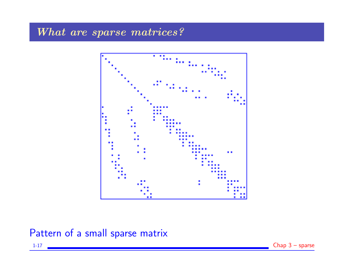## What are sparse matrices?



Pattern of a small sparse matrix

1-17 Chap 3 – sparse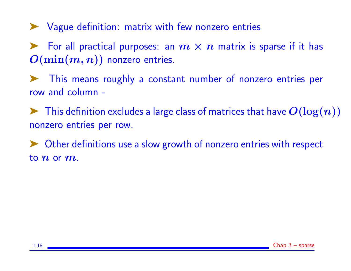➤ Vague definition: matrix with few nonzero entries

For all practical purposes: an  $m \times n$  matrix is sparse if it has  $O(\min(m, n))$  nonzero entries.

➤ This means roughly a constant number of nonzero entries per row and column -

 $\blacktriangleright$  This definition excludes a large class of matrices that have  $O(\log(n))$ nonzero entries per row.

Other definitions use a slow growth of nonzero entries with respect to  $n$  or  $m$ .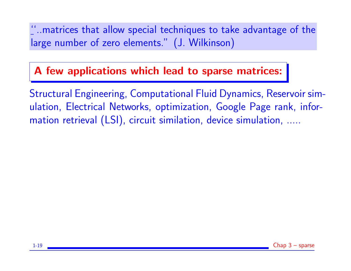''..matrices that allow special techniques to take advantage of the large number of zero elements." (J. Wilkinson)

## A few applications which lead to sparse matrices:

Structural Engineering, Computational Fluid Dynamics, Reservoir simulation, Electrical Networks, optimization, Google Page rank, information retrieval (LSI), circuit similation, device simulation, .....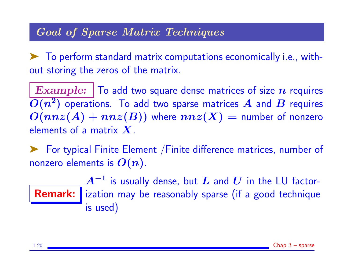## Goal of Sparse Matrix Techniques

➤ To perform standard matrix computations economically i.e., without storing the zeros of the matrix.

**Example:**  $\vert$  To add two square dense matrices of size n requires  $\overline{O(n^2)}$  operations. To add two sparse matrices  $A$  and  $B$  requires  $O(nnz(A) + nnz(B))$  where  $nnz(X)$  = number of nonzero elements of a matrix  $X$ .

➤ For typical Finite Element /Finite difference matrices, number of nonzero elements is  $O(n)$ .

Remark: ization may be reasonably sparse (if a good technique  $\boldsymbol{A}^{-1}$  is usually dense, but  $\boldsymbol{L}$  and  $\boldsymbol{U}$  in the <code>LU</code> factoris used)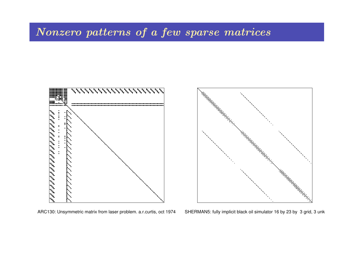## Nonzero patterns of a few sparse matrices





ARC130: Unsymmetric matrix from laser problem. a.r.curtis, oct 1974 SHERMAN5: fully implicit black oil simulator 16 by 23 by 3 grid, 3 unk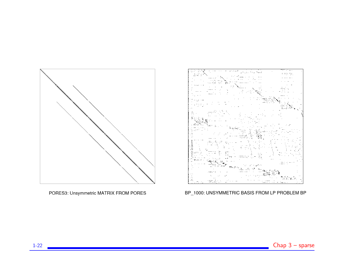

PORES3: Unsymmetric MATRIX FROM PORES



BP\_1000: UNSYMMETRIC BASIS FROM LP PROBLEM BP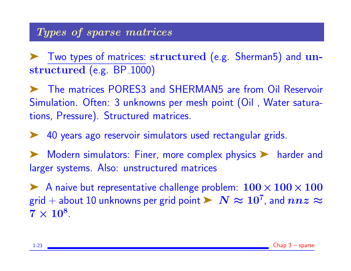➤ Two types of matrices: structured (e.g. Sherman5) and unstructured (e.g. BP<sub>-1000)</sub>

➤ The matrices PORES3 and SHERMAN5 are from Oil Reservoir Simulation. Often: 3 unknowns per mesh point (Oil , Water saturations, Pressure). Structured matrices.

➤ 40 years ago reservoir simulators used rectangular grids.

➤ Modern simulators: Finer, more complex physics ➤ harder and larger systems. Also: unstructured matrices

A naive but representative challenge problem:  $100 \times 100 \times 100$ grid  $+$  about  $10$  unknowns per grid point  $\blacktriangleright\;N\approx 10^7$ , and  $nnz\approx 10^7$  $7 \times 10^8$ .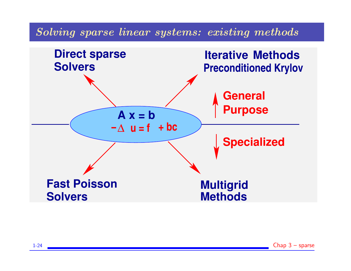## Solving sparse linear systems: existing methods

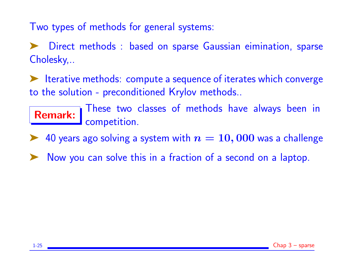Two types of methods for general systems:

Direct methods : based on sparse Gaussian eimination, sparse Cholesky,..

➤ Iterative methods: compute a sequence of iterates which converge to the solution - preconditioned Krylov methods..

Remark: These two classes of methods have always been in competition.

► 40 years ago solving a system with  $n = 10,000$  was a challenge

Now you can solve this in a fraction of a second on a laptop.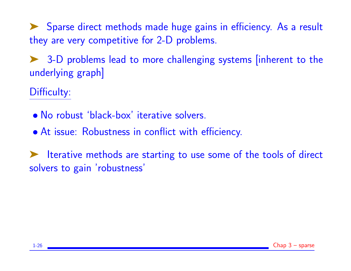➤ Sparse direct methods made huge gains in efficiency. As a result they are very competitive for 2-D problems.

➤ 3-D problems lead to more challenging systems [inherent to the underlying graph]

Difficulty:

- No robust 'black-box' iterative solvers.
- At issue: Robustness in conflict with efficiency.

➤ Iterative methods are starting to use some of the tools of direct solvers to gain 'robustness'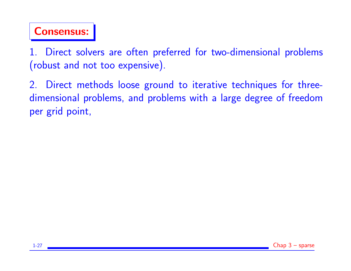

1. Direct solvers are often preferred for two-dimensional problems (robust and not too expensive).

2. Direct methods loose ground to iterative techniques for threedimensional problems, and problems with a large degree of freedom per grid point,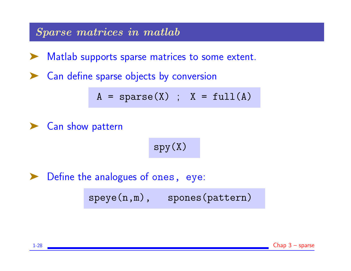Sparse matrices in matlab

Matlab supports sparse matrices to some extent.

Can define sparse objects by conversion

$$
A = sparse(X) ; X = full(A)
$$

➤ Can show pattern

$$
\mathrm{spy}\left(\mathrm{X}\right)
$$

Define the analogues of ones, eye:

speye(n,m), spones(pattern)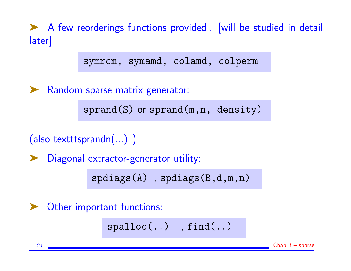▶ A few reorderings functions provided.. [will be studied in detail later] symrcm, symamd, colamd, colperm ▶ Random sparse matrix generator:  $sprand(S)$  or  $sprand(m,n, density)$ (also textttsprandn(...) ) ➤ Diagonal extractor-generator utility: spdiags(A) , spdiags(B,d,m,n) ▶ Other important functions: spalloc(..) , find(..)

1-29 Chap 3 – sparse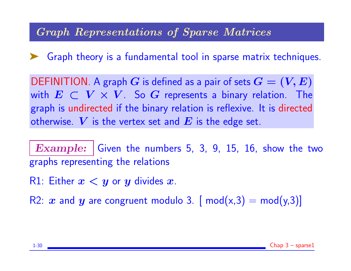## Graph Representations of Sparse Matrices

➤ Graph theory is a fundamental tool in sparse matrix techniques.

DEFINITION. A graph G is defined as a pair of sets  $G = (V, E)$ with  $E \subset V \times V$ . So G represents a binary relation. The graph is undirected if the binary relation is reflexive. It is directed otherwise. V is the vertex set and E is the edge set.

**Example:** Given the numbers 5, 3, 9, 15, 16, show the two graphs representing the relations

R1: Either  $x < y$  or y divides x.

R2: x and y are congruent modulo 3. [ mod(x,3) = mod(y,3)]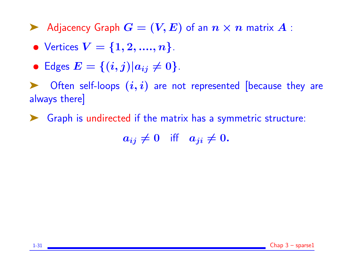Adjacency Graph  $G = (V, E)$  of an  $n \times n$  matrix  $A$ :

- Vertices  $V = \{1, 2, ..., n\}$ .
- Edges  $E = \{(i, j) | a_{ij} \neq 0\}.$

 $\triangleright$  Often self-loops  $(i, i)$  are not represented [because they are always there]

➤ Graph is undirected if the matrix has a symmetric structure:

 $a_{ij} \neq 0$  iff  $a_{ji} \neq 0$ .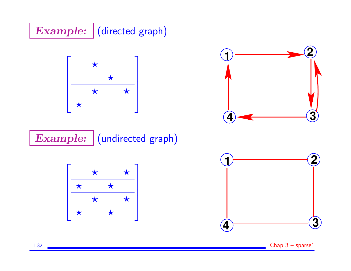





Example: (undirected graph)





1-32 Chap 3 – sparse1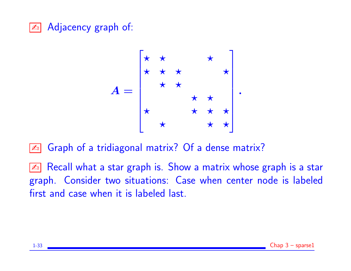## **E** Adjacency graph of:

$$
A = \begin{bmatrix} \star & \star & \star & \star \\ \star & \star & \star & \star \\ \star & \star & \star & \star \\ \star & \star & \star & \star \\ \star & \star & \star & \star \end{bmatrix}.
$$

- **E** Graph of a tridiagonal matrix? Of a dense matrix?
- **Ext** Recall what a star graph is. Show a matrix whose graph is a star graph. Consider two situations: Case when center node is labeled first and case when it is labeled last.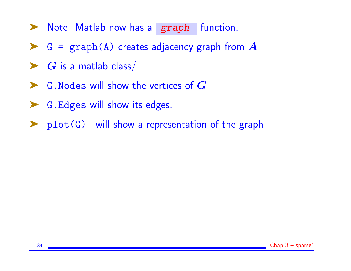- ▶ Note: Matlab now has a graph function.
- $\triangleright$  G = graph(A) creates adjacency graph from A
- $\blacktriangleright$   $G$  is a matlab class/
- $\blacktriangleright$  G. Nodes will show the vertices of  $G$
- ➤ G.Edges will show its edges.
- ➤ plot(G) will show a representation of the graph